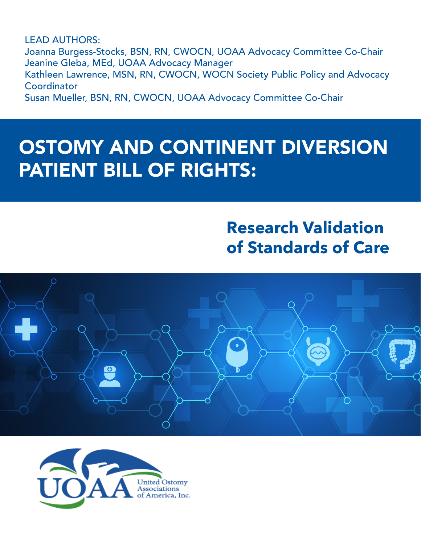LEAD AUTHORS: Joanna Burgess-Stocks, BSN, RN, CWOCN, UOAA Advocacy Committee Co-Chair Jeanine Gleba, MEd, UOAA Advocacy Manager Kathleen Lawrence, MSN, RN, CWOCN, WOCN Society Public Policy and Advocacy **Coordinator** Susan Mueller, BSN, RN, CWOCN, UOAA Advocacy Committee Co-Chair

# OSTOMY AND CONTINENT DIVERSION PATIENT BILL OF RIGHTS:

# **Research Validation of Standards of Care**



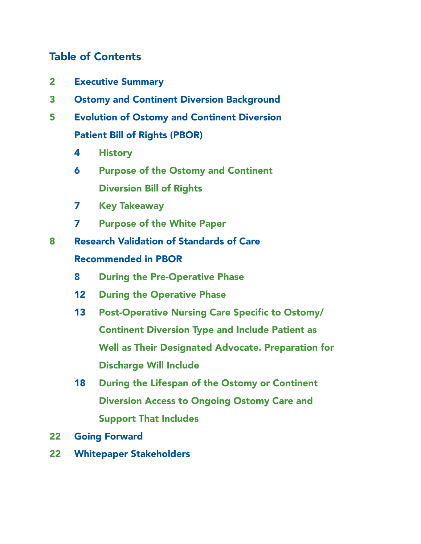# Table of Contents

- Executive Summary
- Ostomy and Continent Diversion Background
- Evolution of Ostomy and Continent Diversion Patient Bill of Rights (PBOR)
	- History
	- Purpose of the Ostomy and Continent Diversion Bill of Rights
	- Key Takeaway
	- Purpose of the White Paper
- Research Validation of Standards of Care Recommended in PBOR
	- During the Pre-Operative Phase
	- During the Operative Phase
	- Post-Operative Nursing Care Specific to Ostomy/ Continent Diversion Type and Include Patient as Well as Their Designated Advocate. Preparation for Discharge Will Include
	- During the Lifespan of the Ostomy or Continent Diversion Access to Ongoing Ostomy Care and Support That Includes
- Going Forward
- Whitepaper Stakeholders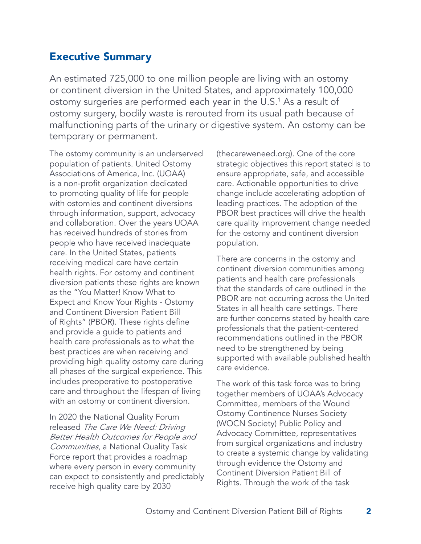# Executive Summary

An estimated 725,000 to one million people are living with an ostomy or continent diversion in the United States, and approximately 100,000 ostomy surgeries are performed each year in the U.S.<sup>1</sup> As a result of ostomy surgery, bodily waste is rerouted from its usual path because of malfunctioning parts of the urinary or digestive system. An ostomy can be temporary or permanent.

The ostomy community is an underserved population of patients. United Ostomy Associations of America, Inc. (UOAA) is a non-profit organization dedicated to promoting quality of life for people with ostomies and continent diversions through information, support, advocacy and collaboration. Over the years UOAA has received hundreds of stories from people who have received inadequate care. In the United States, patients receiving medical care have certain health rights. For ostomy and continent diversion patients these rights are known as the "You Matter! Know What to Expect and Know Your Rights - Ostomy and Continent Diversion Patient Bill of Rights" (PBOR). These rights define and provide a guide to patients and health care professionals as to what the best practices are when receiving and providing high quality ostomy care during all phases of the surgical experience. This includes preoperative to postoperative care and throughout the lifespan of living with an ostomy or continent diversion.

In 2020 the National Quality Forum released The Care We Need: Driving Better Health Outcomes for People and Communities, a National Quality Task Force report that provides a roadmap where every person in every community can expect to consistently and predictably receive high quality care by 2030

(thecareweneed.org). One of the core strategic objectives this report stated is to ensure appropriate, safe, and accessible care. Actionable opportunities to drive change include accelerating adoption of leading practices. The adoption of the PBOR best practices will drive the health care quality improvement change needed for the ostomy and continent diversion population.

There are concerns in the ostomy and continent diversion communities among patients and health care professionals that the standards of care outlined in the PBOR are not occurring across the United States in all health care settings. There are further concerns stated by health care professionals that the patient-centered recommendations outlined in the PBOR need to be strengthened by being supported with available published health care evidence.

The work of this task force was to bring together members of UOAA's Advocacy Committee, members of the Wound Ostomy Continence Nurses Society (WOCN Society) Public Policy and Advocacy Committee, representatives from surgical organizations and industry to create a systemic change by validating through evidence the Ostomy and Continent Diversion Patient Bill of Rights. Through the work of the task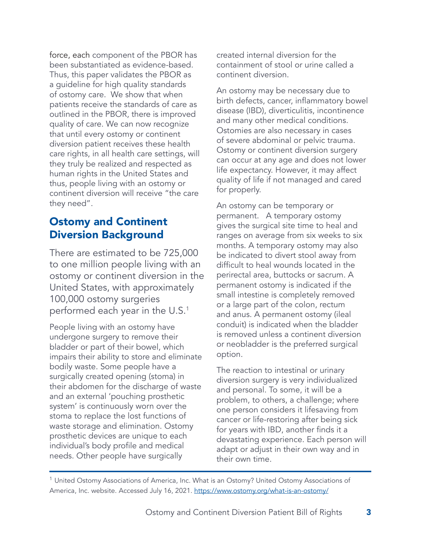force, each component of the PBOR has been substantiated as evidence-based. Thus, this paper validates the PBOR as a guideline for high quality standards of ostomy care. We show that when patients receive the standards of care as outlined in the PBOR, there is improved quality of care. We can now recognize that until every ostomy or continent diversion patient receives these health care rights, in all health care settings, will they truly be realized and respected as human rights in the United States and thus, people living with an ostomy or continent diversion will receive "the care they need".

# Ostomy and Continent Diversion Background

There are estimated to be 725,000 to one million people living with an ostomy or continent diversion in the United States, with approximately 100,000 ostomy surgeries performed each year in the U.S.<sup>1</sup>

People living with an ostomy have undergone surgery to remove their bladder or part of their bowel, which impairs their ability to store and eliminate bodily waste. Some people have a surgically created opening (stoma) in their abdomen for the discharge of waste and an external 'pouching prosthetic system' is continuously worn over the stoma to replace the lost functions of waste storage and elimination. Ostomy prosthetic devices are unique to each individual's body profile and medical needs. Other people have surgically

created internal diversion for the containment of stool or urine called a continent diversion.

An ostomy may be necessary due to birth defects, cancer, inflammatory bowel disease (IBD), diverticulitis, incontinence and many other medical conditions. Ostomies are also necessary in cases of severe abdominal or pelvic trauma. Ostomy or continent diversion surgery can occur at any age and does not lower life expectancy. However, it may affect quality of life if not managed and cared for properly.

An ostomy can be temporary or permanent. A temporary ostomy gives the surgical site time to heal and ranges on average from six weeks to six months. A temporary ostomy may also be indicated to divert stool away from difficult to heal wounds located in the perirectal area, buttocks or sacrum. A permanent ostomy is indicated if the small intestine is completely removed or a large part of the colon, rectum and anus. A permanent ostomy (ileal conduit) is indicated when the bladder is removed unless a continent diversion or neobladder is the preferred surgical option.

The reaction to intestinal or urinary diversion surgery is very individualized and personal. To some, it will be a problem, to others, a challenge; where one person considers it lifesaving from cancer or life-restoring after being sick for years with IBD, another finds it a devastating experience. Each person will adapt or adjust in their own way and in their own time.

<sup>1</sup> United Ostomy Associations of America, Inc. What is an Ostomy? United Ostomy Associations of America, Inc. website. Accessed July 16, 2021. https://www.ostomy.org/what-is-an-ostomy/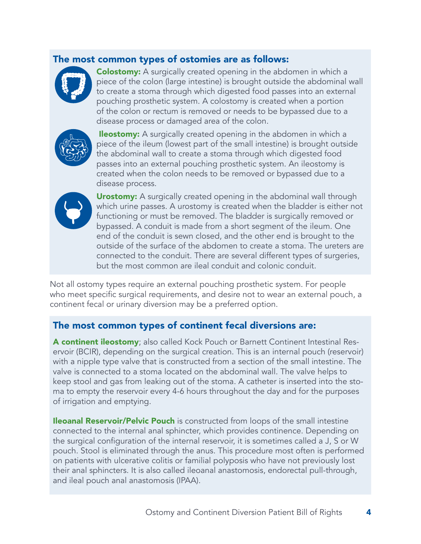#### The most common types of ostomies are as follows:



**Colostomy:** A surgically created opening in the abdomen in which a piece of the colon (large intestine) is brought outside the abdominal wall to create a stoma through which digested food passes into an external pouching prosthetic system. A colostomy is created when a portion of the colon or rectum is removed or needs to be bypassed due to a disease process or damaged area of the colon.



**Ileostomy:** A surgically created opening in the abdomen in which a piece of the ileum (lowest part of the small intestine) is brought outside the abdominal wall to create a stoma through which digested food passes into an external pouching prosthetic system. An ileostomy is created when the colon needs to be removed or bypassed due to a disease process.



**Urostomy:** A surgically created opening in the abdominal wall through which urine passes. A urostomy is created when the bladder is either not functioning or must be removed. The bladder is surgically removed or bypassed. A conduit is made from a short segment of the ileum. One end of the conduit is sewn closed, and the other end is brought to the outside of the surface of the abdomen to create a stoma. The ureters are connected to the conduit. There are several different types of surgeries, but the most common are ileal conduit and colonic conduit.

Not all ostomy types require an external pouching prosthetic system. For people who meet specific surgical requirements, and desire not to wear an external pouch, a continent fecal or urinary diversion may be a preferred option.

#### The most common types of continent fecal diversions are:

A continent ileostomy; also called Kock Pouch or Barnett Continent Intestinal Reservoir (BCIR), depending on the surgical creation. This is an internal pouch (reservoir) with a nipple type valve that is constructed from a section of the small intestine. The valve is connected to a stoma located on the abdominal wall. The valve helps to keep stool and gas from leaking out of the stoma. A catheter is inserted into the stoma to empty the reservoir every 4-6 hours throughout the day and for the purposes of irrigation and emptying.

**Ileoanal Reservoir/Pelvic Pouch** is constructed from loops of the small intestine connected to the internal anal sphincter, which provides continence. Depending on the surgical configuration of the internal reservoir, it is sometimes called a J, S or W pouch. Stool is eliminated through the anus. This procedure most often is performed on patients with ulcerative colitis or familial polyposis who have not previously lost their anal sphincters. It is also called ileoanal anastomosis, endorectal pull-through, and ileal pouch anal anastomosis (IPAA).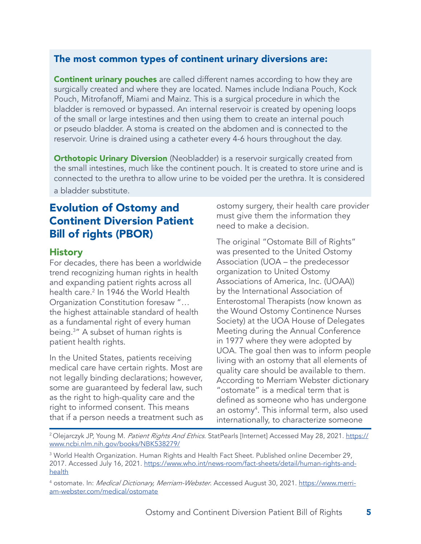#### The most common types of continent urinary diversions are:

**Continent urinary pouches** are called different names according to how they are surgically created and where they are located. Names include Indiana Pouch, Kock Pouch, Mitrofanoff, Miami and Mainz. This is a surgical procedure in which the bladder is removed or bypassed. An internal reservoir is created by opening loops of the small or large intestines and then using them to create an internal pouch or pseudo bladder. A stoma is created on the abdomen and is connected to the reservoir. Urine is drained using a catheter every 4-6 hours throughout the day.

**Orthotopic Urinary Diversion** (Neobladder) is a reservoir surgically created from the small intestines, much like the continent pouch. It is created to store urine and is connected to the urethra to allow urine to be voided per the urethra. It is considered

a bladder substitute.

# Evolution of Ostomy and Continent Diversion Patient Bill of rights (PBOR)

#### **History**

For decades, there has been a worldwide trend recognizing human rights in health and expanding patient rights across all health care.2 In 1946 the World Health Organization Constitution foresaw "… the highest attainable standard of health as a fundamental right of every human being.3 " A subset of human rights is patient health rights.

In the United States, patients receiving medical care have certain rights. Most are not legally binding declarations; however, some are guaranteed by federal law, such as the right to high-quality care and the right to informed consent. This means that if a person needs a treatment such as ostomy surgery, their health care provider must give them the information they need to make a decision.

The original "Ostomate Bill of Rights" was presented to the United Ostomy Association (UOA – the predecessor organization to United Ostomy Associations of America, Inc. (UOAA)) by the International Association of Enterostomal Therapists (now known as the Wound Ostomy Continence Nurses Society) at the UOA House of Delegates Meeting during the Annual Conference in 1977 where they were adopted by UOA. The goal then was to inform people living with an ostomy that all elements of quality care should be available to them. According to Merriam Webster dictionary "ostomate" is a medical term that is defined as someone who has undergone an ostomy4 . This informal term, also used internationally, to characterize someone

<sup>2</sup> Olejarczyk JP, Young M. Patient Rights And Ethics. StatPearls [Internet] Accessed May 28, 2021. https:// www.ncbi.nlm.nih.gov/books/NBK538279/

<sup>3</sup> World Health Organization. Human Rights and Health Fact Sheet. Published online December 29, 2017. Accessed July 16, 2021. https://www.who.int/news-room/fact-sheets/detail/human-rights-andhealth

<sup>&</sup>lt;sup>4</sup> ostomate. In: *Medical Dictionary, Merriam-Webster*. Accessed August 30, 2021. <u>https://www.merri-</u> am-webster.com/medical/ostomate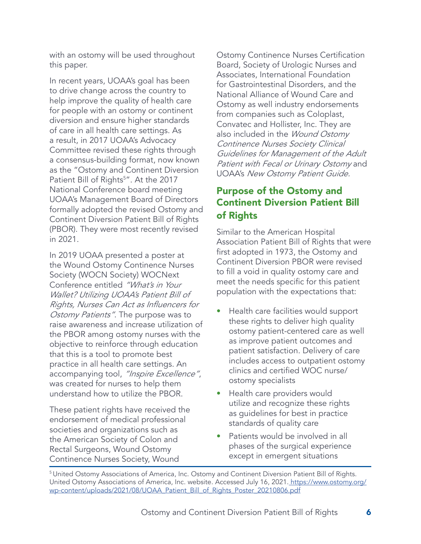with an ostomy will be used throughout this paper.

In recent years, UOAA's goal has been to drive change across the country to help improve the quality of health care for people with an ostomy or continent diversion and ensure higher standards of care in all health care settings. As a result, in 2017 UOAA's Advocacy Committee revised these rights through a consensus-building format, now known as the "Ostomy and Continent Diversion Patient Bill of Rights<sup>5</sup>". At the 2017 National Conference board meeting UOAA's Management Board of Directors formally adopted the revised Ostomy and Continent Diversion Patient Bill of Rights (PBOR). They were most recently revised in 2021.

In 2019 UOAA presented a poster at the Wound Ostomy Continence Nurses Society (WOCN Society) WOCNext Conference entitled "What's in Your Wallet? Utilizing UOAA's Patient Bill of Rights, Nurses Can Act as Influencers for Ostomy Patients". The purpose was to raise awareness and increase utilization of the PBOR among ostomy nurses with the objective to reinforce through education that this is a tool to promote best practice in all health care settings. An accompanying tool, "Inspire Excellence", was created for nurses to help them understand how to utilize the PBOR.

These patient rights have received the endorsement of medical professional societies and organizations such as the American Society of Colon and Rectal Surgeons, Wound Ostomy Continence Nurses Society, Wound

Ostomy Continence Nurses Certification Board, Society of Urologic Nurses and Associates, International Foundation for Gastrointestinal Disorders, and the National Alliance of Wound Care and Ostomy as well industry endorsements from companies such as Coloplast, Convatec and Hollister, Inc. They are also included in the *Wound Ostomy* Continence Nurses Society Clinical Guidelines for Management of the Adult Patient with Fecal or Urinary Ostomy and UOAA's New Ostomy Patient Guide.

## Purpose of the Ostomy and Continent Diversion Patient Bill of Rights

Similar to the American Hospital Association Patient Bill of Rights that were first adopted in 1973, the Ostomy and Continent Diversion PBOR were revised to fill a void in quality ostomy care and meet the needs specific for this patient population with the expectations that:

- Health care facilities would support these rights to deliver high quality ostomy patient-centered care as well as improve patient outcomes and patient satisfaction. Delivery of care includes access to outpatient ostomy clinics and certified WOC nurse/ ostomy specialists
- Health care providers would utilize and recognize these rights as guidelines for best in practice standards of quality care
- Patients would be involved in all phases of the surgical experience except in emergent situations

<sup>5</sup> United Ostomy Associations of America, Inc. Ostomy and Continent Diversion Patient Bill of Rights. United Ostomy Associations of America, Inc. website. Accessed July 16, 2021. https://www.ostomy.org/ wp-content/uploads/2021/08/UOAA\_Patient\_Bill\_of\_Rights\_Poster\_20210806.pdf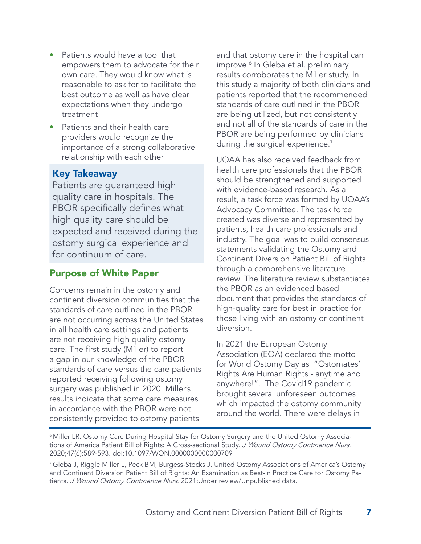- Patients would have a tool that empowers them to advocate for their own care. They would know what is reasonable to ask for to facilitate the best outcome as well as have clear expectations when they undergo treatment
- Patients and their health care providers would recognize the importance of a strong collaborative relationship with each other

#### Key Takeaway

Patients are guaranteed high quality care in hospitals. The PBOR specifically defines what high quality care should be expected and received during the ostomy surgical experience and for continuum of care.

#### Purpose of White Paper

Concerns remain in the ostomy and continent diversion communities that the standards of care outlined in the PBOR are not occurring across the United States in all health care settings and patients are not receiving high quality ostomy care. The first study (Miller) to report a gap in our knowledge of the PBOR standards of care versus the care patients reported receiving following ostomy surgery was published in 2020. Miller's results indicate that some care measures in accordance with the PBOR were not consistently provided to ostomy patients

and that ostomy care in the hospital can improve.6 In Gleba et al. preliminary results corroborates the Miller study. In this study a majority of both clinicians and patients reported that the recommended standards of care outlined in the PBOR are being utilized, but not consistently and not all of the standards of care in the PBOR are being performed by clinicians during the surgical experience.<sup>7</sup>

UOAA has also received feedback from health care professionals that the PBOR should be strengthened and supported with evidence-based research. As a result, a task force was formed by UOAA's Advocacy Committee. The task force created was diverse and represented by patients, health care professionals and industry. The goal was to build consensus statements validating the Ostomy and Continent Diversion Patient Bill of Rights through a comprehensive literature review. The literature review substantiates the PBOR as an evidenced based document that provides the standards of high-quality care for best in practice for those living with an ostomy or continent diversion.

In 2021 the European Ostomy Association (EOA) declared the motto for World Ostomy Day as "Ostomates' Rights Are Human Rights - anytime and anywhere!". The Covid19 pandemic brought several unforeseen outcomes which impacted the ostomy community around the world. There were delays in

<sup>7</sup> Gleba J, Riggle Miller L, Peck BM, Burgess-Stocks J. United Ostomy Associations of America's Ostomy and Continent Diversion Patient Bill of Rights: An Examination as Best-in Practice Care for Ostomy Patients. J Wound Ostomy Continence Nurs. 2021; Under review/Unpublished data.

<sup>6</sup> Miller LR. Ostomy Care During Hospital Stay for Ostomy Surgery and the United Ostomy Associations of America Patient Bill of Rights: A Cross-sectional Study. J Wound Ostomy Continence Nurs. 2020;47(6):589-593. doi:10.1097/WON.0000000000000709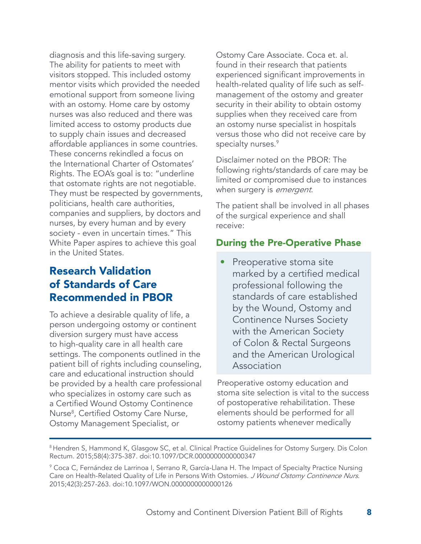diagnosis and this life-saving surgery. The ability for patients to meet with visitors stopped. This included ostomy mentor visits which provided the needed emotional support from someone living with an ostomy. Home care by ostomy nurses was also reduced and there was limited access to ostomy products due to supply chain issues and decreased affordable appliances in some countries. These concerns rekindled a focus on the International Charter of Ostomates' Rights. The EOA's goal is to: "underline that ostomate rights are not negotiable. They must be respected by governments, politicians, health care authorities, companies and suppliers, by doctors and nurses, by every human and by every society - even in uncertain times." This White Paper aspires to achieve this goal in the United States.

# Research Validation of Standards of Care Recommended in PBOR

To achieve a desirable quality of life, a person undergoing ostomy or continent diversion surgery must have access to high-quality care in all health care settings. The components outlined in the patient bill of rights including counseling, care and educational instruction should be provided by a health care professional who specializes in ostomy care such as a Certified Wound Ostomy Continence Nurse8 , Certified Ostomy Care Nurse, Ostomy Management Specialist, or

Ostomy Care Associate. Coca et. al. found in their research that patients experienced significant improvements in health-related quality of life such as selfmanagement of the ostomy and greater security in their ability to obtain ostomy supplies when they received care from an ostomy nurse specialist in hospitals versus those who did not receive care by specialty nurses.<sup>9</sup>

Disclaimer noted on the PBOR: The following rights/standards of care may be limited or compromised due to instances when surgery is *emergent*.

The patient shall be involved in all phases of the surgical experience and shall receive:

## During the Pre-Operative Phase

Preoperative stoma site marked by a certified medical professional following the standards of care established by the Wound, Ostomy and Continence Nurses Society with the American Society of Colon & Rectal Surgeons and the American Urological Association

Preoperative ostomy education and stoma site selection is vital to the success of postoperative rehabilitation. These elements should be performed for all ostomy patients whenever medically

<sup>&</sup>lt;sup>8</sup> Hendren S, Hammond K, Glasgow SC, et al. Clinical Practice Guidelines for Ostomy Surgery. Dis Colon Rectum. 2015;58(4):375-387. doi:10.1097/DCR.0000000000000347

<sup>9</sup> Coca C, Fernández de Larrinoa I, Serrano R, García-Llana H. The Impact of Specialty Practice Nursing Care on Health-Related Quality of Life in Persons With Ostomies. J Wound Ostomy Continence Nurs. 2015;42(3):257-263. doi:10.1097/WON.0000000000000126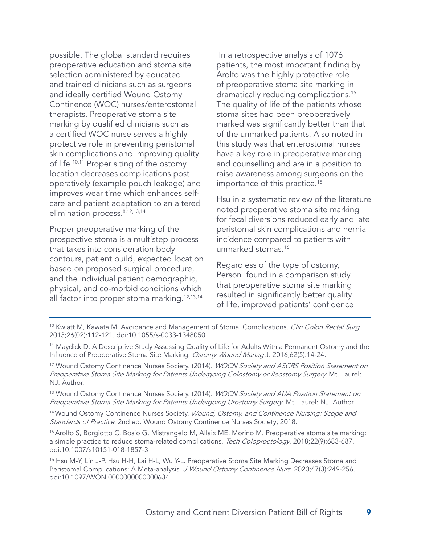possible. The global standard requires preoperative education and stoma site selection administered by educated and trained clinicians such as surgeons and ideally certified Wound Ostomy Continence (WOC) nurses/enterostomal therapists. Preoperative stoma site marking by qualified clinicians such as a certified WOC nurse serves a highly protective role in preventing peristomal skin complications and improving quality of life.<sup>10,11</sup> Proper siting of the ostomy location decreases complications post operatively (example pouch leakage) and improves wear time which enhances selfcare and patient adaptation to an altered elimination process.<sup>8,12,13,14</sup>

Proper preoperative marking of the prospective stoma is a multistep process that takes into consideration body contours, patient build, expected location based on proposed surgical procedure, and the individual patient demographic, physical, and co-morbid conditions which all factor into proper stoma marking.12,13,14

 In a retrospective analysis of 1076 patients, the most important finding by Arolfo was the highly protective role of preoperative stoma site marking in dramatically reducing complications.15 The quality of life of the patients whose stoma sites had been preoperatively marked was significantly better than that of the unmarked patients. Also noted in this study was that enterostomal nurses have a key role in preoperative marking and counselling and are in a position to raise awareness among surgeons on the importance of this practice.15

Hsu in a systematic review of the literature noted preoperative stoma site marking for fecal diversions reduced early and late peristomal skin complications and hernia incidence compared to patients with unmarked stomas.16

Regardless of the type of ostomy, Person found in a comparison study that preoperative stoma site marking resulted in significantly better quality of life, improved patients' confidence

<sup>10</sup> Kwiatt M, Kawata M. Avoidance and Management of Stomal Complications. *Clin Colon Rectal Surg*. 2013;26(02):112-121. doi:10.1055/s-0033-1348050

<sup>11</sup> Maydick D. A Descriptive Study Assessing Quality of Life for Adults With a Permanent Ostomy and the Influence of Preoperative Stoma Site Marking. Ostomy Wound Manag J. 2016;62(5):14-24.

<sup>12</sup> Wound Ostomy Continence Nurses Society. (2014). *WOCN Society and ASCRS Position Statement on* Preoperative Stoma Site Marking for Patients Undergoing Colostomy or Ileostomy Surgery. Mt. Laurel: NJ. Author.

<sup>13</sup> Wound Ostomy Continence Nurses Society. (2014). *WOCN Society and AUA Position Statement on* Preoperative Stoma Site Marking for Patients Undergoing Urostomy Surgery. Mt. Laurel: NJ. Author.

<sup>14</sup> Wound Ostomy Continence Nurses Society. *Wound, Ostomy, and Continence Nursing: Scope and* Standards of Practice. 2nd ed. Wound Ostomy Continence Nurses Society; 2018.

15 Arolfo S, Borgiotto C, Bosio G, Mistrangelo M, Allaix ME, Morino M. Preoperative stoma site marking: a simple practice to reduce stoma-related complications. Tech Coloproctology. 2018;22(9):683-687. doi:10.1007/s10151-018-1857-3

<sup>16</sup> Hsu M-Y, Lin J-P, Hsu H-H, Lai H-L, Wu Y-L. Preoperative Stoma Site Marking Decreases Stoma and Peristomal Complications: A Meta-analysis. J Wound Ostomy Continence Nurs. 2020;47(3):249-256. doi:10.1097/WON.0000000000000634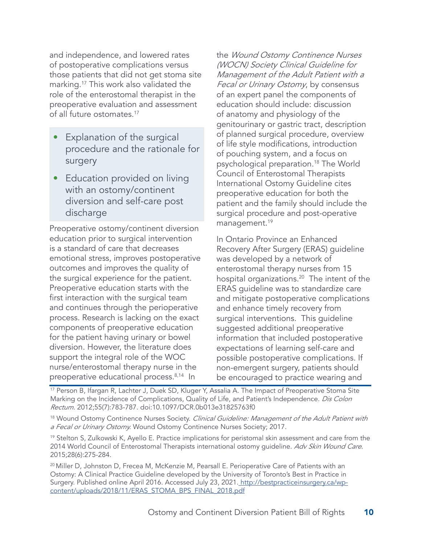and independence, and lowered rates of postoperative complications versus those patients that did not get stoma site marking.17 This work also validated the role of the enterostomal therapist in the preoperative evaluation and assessment of all future ostomates.17

- Explanation of the surgical procedure and the rationale for surgery
- Education provided on living with an ostomy/continent diversion and self-care post discharge

Preoperative ostomy/continent diversion education prior to surgical intervention is a standard of care that decreases emotional stress, improves postoperative outcomes and improves the quality of the surgical experience for the patient. Preoperative education starts with the first interaction with the surgical team and continues through the perioperative process. Research is lacking on the exact components of preoperative education for the patient having urinary or bowel diversion. However, the literature does support the integral role of the WOC nurse/enterostomal therapy nurse in the preoperative educational process.8,14 In

the Wound Ostomy Continence Nurses (WOCN) Society Clinical Guideline for Management of the Adult Patient with a Fecal or Urinary Ostomy, by consensus of an expert panel the components of education should include: discussion of anatomy and physiology of the genitourinary or gastric tract, description of planned surgical procedure, overview of life style modifications, introduction of pouching system, and a focus on psychological preparation.18 The World Council of Enterostomal Therapists International Ostomy Guideline cites preoperative education for both the patient and the family should include the surgical procedure and post-operative management.<sup>19</sup>

In Ontario Province an Enhanced Recovery After Surgery (ERAS) guideline was developed by a network of enterostomal therapy nurses from 15 hospital organizations.<sup>20</sup> The intent of the ERAS guideline was to standardize care and mitigate postoperative complications and enhance timely recovery from surgical interventions. This guideline suggested additional preoperative information that included postoperative expectations of learning self-care and possible postoperative complications. If non-emergent surgery, patients should be encouraged to practice wearing and

<sup>17</sup> Person B, Ifargan R, Lachter J, Duek SD, Kluger Y, Assalia A. The Impact of Preoperative Stoma Site Marking on the Incidence of Complications, Quality of Life, and Patient's Independence. Dis Colon Rectum. 2012;55(7):783-787. doi:10.1097/DCR.0b013e31825763f0

<sup>18</sup> Wound Ostomy Continence Nurses Society. Clinical Guideline: Management of the Adult Patient with a Fecal or Urinary Ostomy. Wound Ostomy Continence Nurses Society; 2017.

<sup>19</sup> Stelton S, Zulkowski K, Ayello E. Practice implications for peristomal skin assessment and care from the 2014 World Council of Enterostomal Therapists international ostomy guideline. Adv Skin Wound Care. 2015;28(6):275-284.

<sup>20</sup> Miller D, Johnston D, Frecea M, McKenzie M, Pearsall E. Perioperative Care of Patients with an Ostomy: A Clinical Practice Guideline developed by the University of Toronto's Best in Practice in Surgery. Published online April 2016. Accessed July 23, 2021. http://bestpracticeinsurgery.ca/wpcontent/uploads/2018/11/ERAS\_STOMA\_BPS\_FINAL\_2018.pdf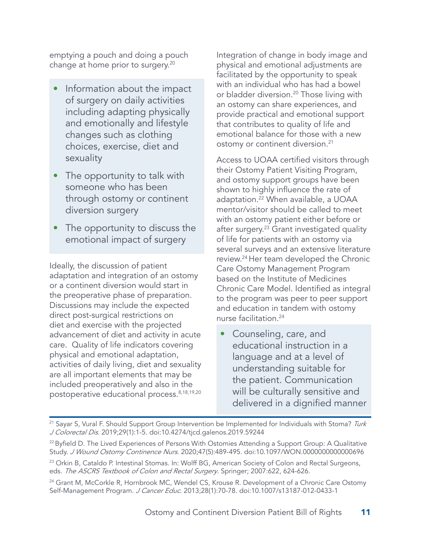emptying a pouch and doing a pouch change at home prior to surgery.20

- Information about the impact of surgery on daily activities including adapting physically and emotionally and lifestyle changes such as clothing choices, exercise, diet and sexuality
- The opportunity to talk with someone who has been through ostomy or continent diversion surgery
- The opportunity to discuss the emotional impact of surgery

Ideally, the discussion of patient adaptation and integration of an ostomy or a continent diversion would start in the preoperative phase of preparation. Discussions may include the expected direct post-surgical restrictions on diet and exercise with the projected advancement of diet and activity in acute care. Quality of life indicators covering physical and emotional adaptation, activities of daily living, diet and sexuality are all important elements that may be included preoperatively and also in the postoperative educational process.<sup>8,18,19,20</sup>

Integration of change in body image and physical and emotional adjustments are facilitated by the opportunity to speak with an individual who has had a bowel or bladder diversion.<sup>20</sup> Those living with an ostomy can share experiences, and provide practical and emotional support that contributes to quality of life and emotional balance for those with a new ostomy or continent diversion.<sup>21</sup>

Access to UOAA certified visitors through their Ostomy Patient Visiting Program, and ostomy support groups have been shown to highly influence the rate of adaptation.22 When available, a UOAA mentor/visitor should be called to meet with an ostomy patient either before or after surgery.<sup>23</sup> Grant investigated quality of life for patients with an ostomy via several surveys and an extensive literature review.24 Her team developed the Chronic Care Ostomy Management Program based on the Institute of Medicines Chronic Care Model. Identified as integral to the program was peer to peer support and education in tandem with ostomy nurse facilitation.24

• Counseling, care, and educational instruction in a language and at a level of understanding suitable for the patient. Communication will be culturally sensitive and delivered in a dignified manner

<sup>&</sup>lt;sup>21</sup> Sayar S, Vural F. Should Support Group Intervention be Implemented for Individuals with Stoma? Turk J Colorectal Dis. 2019;29(1):1-5. doi:10.4274/tjcd.galenos.2019.59244

<sup>&</sup>lt;sup>22</sup> Byfield D. The Lived Experiences of Persons With Ostomies Attending a Support Group: A Qualitative Study. J Wound Ostomy Continence Nurs. 2020;47(5):489-495. doi:10.1097/WON.0000000000000696

<sup>&</sup>lt;sup>23</sup> Orkin B, Cataldo P. Intestinal Stomas. In: Wolff BG, American Society of Colon and Rectal Surgeons, eds. The ASCRS Textbook of Colon and Rectal Surgery. Springer; 2007:622, 624-626.

<sup>&</sup>lt;sup>24</sup> Grant M, McCorkle R, Hornbrook MC, Wendel CS, Krouse R. Development of a Chronic Care Ostomy Self-Management Program. J Cancer Educ. 2013;28(1):70-78. doi:10.1007/s13187-012-0433-1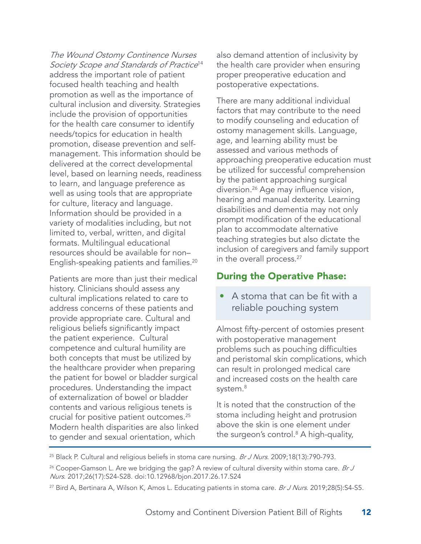The Wound Ostomy Continence Nurses Society Scope and Standards of Practice<sup>14</sup> address the important role of patient focused health teaching and health promotion as well as the importance of cultural inclusion and diversity. Strategies include the provision of opportunities for the health care consumer to identify needs/topics for education in health promotion, disease prevention and selfmanagement. This information should be delivered at the correct developmental level, based on learning needs, readiness to learn, and language preference as well as using tools that are appropriate for culture, literacy and language. Information should be provided in a variety of modalities including, but not limited to, verbal, written, and digital formats. Multilingual educational resources should be available for non– English-speaking patients and families.20

Patients are more than just their medical history. Clinicians should assess any cultural implications related to care to address concerns of these patients and provide appropriate care. Cultural and religious beliefs significantly impact the patient experience. Cultural competence and cultural humility are both concepts that must be utilized by the healthcare provider when preparing the patient for bowel or bladder surgical procedures. Understanding the impact of externalization of bowel or bladder contents and various religious tenets is crucial for positive patient outcomes.25 Modern health disparities are also linked to gender and sexual orientation, which

also demand attention of inclusivity by the health care provider when ensuring proper preoperative education and postoperative expectations.

There are many additional individual factors that may contribute to the need to modify counseling and education of ostomy management skills. Language, age, and learning ability must be assessed and various methods of approaching preoperative education must be utilized for successful comprehension by the patient approaching surgical diversion.26 Age may influence vision, hearing and manual dexterity. Learning disabilities and dementia may not only prompt modification of the educational plan to accommodate alternative teaching strategies but also dictate the inclusion of caregivers and family support in the overall process.<sup>27</sup>

#### During the Operative Phase:

• A stoma that can be fit with a reliable pouching system

Almost fifty-percent of ostomies present with postoperative management problems such as pouching difficulties and peristomal skin complications, which can result in prolonged medical care and increased costs on the health care system.<sup>8</sup>

It is noted that the construction of the stoma including height and protrusion above the skin is one element under the surgeon's control.8 A high-quality,

<sup>&</sup>lt;sup>25</sup> Black P. Cultural and religious beliefs in stoma care nursing. Br J Nurs. 2009;18(13):790-793.

<sup>&</sup>lt;sup>26</sup> Cooper-Gamson L. Are we bridging the gap? A review of cultural diversity within stoma care. *Br J* Nurs. 2017;26(17):S24-S28. doi:10.12968/bjon.2017.26.17.S24

<sup>&</sup>lt;sup>27</sup> Bird A, Bertinara A, Wilson K, Amos L. Educating patients in stoma care. Br J Nurs. 2019;28(5):S4-S5.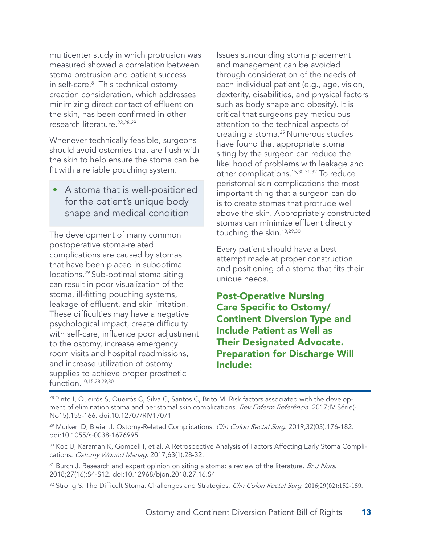multicenter study in which protrusion was measured showed a correlation between stoma protrusion and patient success in self-care.8 This technical ostomy creation consideration, which addresses minimizing direct contact of effluent on the skin, has been confirmed in other research literature.<sup>23,28,29</sup>

Whenever technically feasible, surgeons should avoid ostomies that are flush with the skin to help ensure the stoma can be fit with a reliable pouching system.

• A stoma that is well-positioned for the patient's unique body shape and medical condition

The development of many common postoperative stoma-related complications are caused by stomas that have been placed in suboptimal locations.29 Sub-optimal stoma siting can result in poor visualization of the stoma, ill-fitting pouching systems, leakage of effluent, and skin irritation. These difficulties may have a negative psychological impact, create difficulty with self-care, influence poor adjustment to the ostomy, increase emergency room visits and hospital readmissions, and increase utilization of ostomy supplies to achieve proper prosthetic function.10,15,28,29,30

Issues surrounding stoma placement and management can be avoided through consideration of the needs of each individual patient (e.g., age, vision, dexterity, disabilities, and physical factors such as body shape and obesity). It is critical that surgeons pay meticulous attention to the technical aspects of creating a stoma.29 Numerous studies have found that appropriate stoma siting by the surgeon can reduce the likelihood of problems with leakage and other complications.15,30,31,32 To reduce peristomal skin complications the most important thing that a surgeon can do is to create stomas that protrude well above the skin. Appropriately constructed stomas can minimize effluent directly touching the skin.10,29,30

Every patient should have a best attempt made at proper construction and positioning of a stoma that fits their unique needs.

Post-Operative Nursing Care Specific to Ostomy/ Continent Diversion Type and Include Patient as Well as Their Designated Advocate. Preparation for Discharge Will Include:

<sup>28</sup> Pinto I, Queirós S, Queirós C, Silva C, Santos C, Brito M. Risk factors associated with the development of elimination stoma and peristomal skin complications. Rev Enferm Referência. 2017;IV Série(-No15):155-166. doi:10.12707/RIV17071

<sup>29</sup> Murken D, Bleier J. Ostomy-Related Complications. Clin Colon Rectal Surg. 2019;32(03):176-182. doi:10.1055/s-0038-1676995

<sup>30</sup> Koc U, Karaman K, Gomceli I, et al. A Retrospective Analysis of Factors Affecting Early Stoma Complications. Ostomy Wound Manag. 2017;63(1):28-32.

<sup>31</sup> Burch J. Research and expert opinion on siting a stoma: a review of the literature. Br J Nurs. 2018;27(16):S4-S12. doi:10.12968/bjon.2018.27.16.S4

<sup>32</sup> Strong S. The Difficult Stoma: Challenges and Strategies. *Clin Colon Rectal Surg*. 2016;29(02):152-159.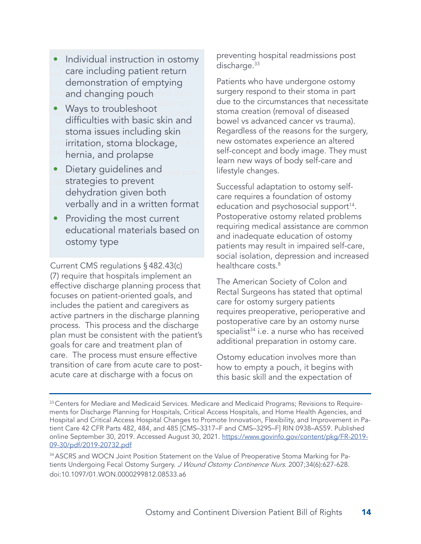- Individual instruction in ostomy care includ-• Individual instruction in ostomy and care including patient return Way and changing pouch with basic demonstration of emptying
- skin and stoma issues including skin irrita-• Ways to troubleshoot Dietstoma issues including skin ent dehyirritation, stoma blockage, a written hernia, and prolapse difficulties with basic skin and
- Dietary guidelines and <sub>ional mate-</sub> rials strategies to prevent dehydration given both verbally and in a written format
- Providing the most current educational materials based on ostomy type

Current CMS regulations §482.43(c) (7) require that hospitals implement an effective discharge planning process that focuses on patient-oriented goals, and includes the patient and caregivers as active partners in the discharge planning process. This process and the discharge plan must be consistent with the patient's goals for care and treatment plan of care. The process must ensure effective transition of care from acute care to postacute care at discharge with a focus on

preventing hospital readmissions post discharge.<sup>33</sup>

Patients who have undergone ostomy surgery respond to their stoma in part due to the circumstances that necessitate stoma creation (removal of diseased bowel vs advanced cancer vs trauma). Regardless of the reasons for the surgery, new ostomates experience an altered self-concept and body image. They must learn new ways of body self-care and lifestyle changes.

Successful adaptation to ostomy selfcare requires a foundation of ostomy education and psychosocial support<sup>14</sup>. Postoperative ostomy related problems requiring medical assistance are common and inadequate education of ostomy patients may result in impaired self-care, social isolation, depression and increased healthcare costs.<sup>8</sup>

The American Society of Colon and Rectal Surgeons has stated that optimal care for ostomy surgery patients requires preoperative, perioperative and postoperative care by an ostomy nurse specialist<sup>34</sup> i.e. a nurse who has received additional preparation in ostomy care.

Ostomy education involves more than how to empty a pouch, it begins with this basic skill and the expectation of

<sup>&</sup>lt;sup>33</sup> Centers for Mediare and Medicaid Services. Medicare and Medicaid Programs; Revisions to Requirements for Discharge Planning for Hospitals, Critical Access Hospitals, and Home Health Agencies, and Hospital and Critical Access Hospital Changes to Promote Innovation, Flexibility, and Improvement in Patient Care 42 CFR Parts 482, 484, and 485 [CMS–3317–F and CMS–3295–F] RIN 0938–AS59. Published online September 30, 2019. Accessed August 30, 2021. https://www.govinfo.gov/content/pkg/FR-2019- 09-30/pdf/2019-20732.pdf

<sup>&</sup>lt;sup>34</sup> ASCRS and WOCN Joint Position Statement on the Value of Preoperative Stoma Marking for Patients Undergoing Fecal Ostomy Surgery. J Wound Ostomy Continence Nurs. 2007;34(6):627-628. doi:10.1097/01.WON.0000299812.08533.a6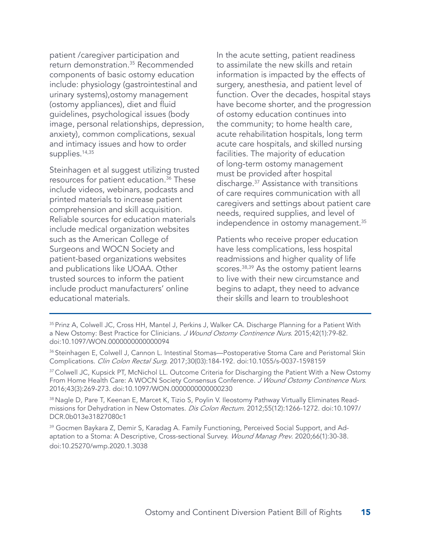patient /caregiver participation and return demonstration.35 Recommended components of basic ostomy education include: physiology (gastrointestinal and urinary systems),ostomy management (ostomy appliances), diet and fluid guidelines, psychological issues (body image, personal relationships, depression, anxiety), common complications, sexual and intimacy issues and how to order supplies.<sup>14,35</sup>

Steinhagen et al suggest utilizing trusted resources for patient education.<sup>36</sup> These include videos, webinars, podcasts and printed materials to increase patient comprehension and skill acquisition. Reliable sources for education materials include medical organization websites such as the American College of Surgeons and WOCN Society and patient-based organizations websites and publications like UOAA. Other trusted sources to inform the patient include product manufacturers' online educational materials.

In the acute setting, patient readiness to assimilate the new skills and retain information is impacted by the effects of surgery, anesthesia, and patient level of function. Over the decades, hospital stays have become shorter, and the progression of ostomy education continues into the community; to home health care, acute rehabilitation hospitals, long term acute care hospitals, and skilled nursing facilities. The majority of education of long-term ostomy management must be provided after hospital discharge.37 Assistance with transitions of care requires communication with all caregivers and settings about patient care needs, required supplies, and level of independence in ostomy management.<sup>35</sup>

Patients who receive proper education have less complications, less hospital readmissions and higher quality of life scores.<sup>38,39</sup> As the ostomy patient learns to live with their new circumstance and begins to adapt, they need to advance their skills and learn to troubleshoot

<sup>&</sup>lt;sup>35</sup> Prinz A, Colwell JC, Cross HH, Mantel J, Perkins J, Walker CA. Discharge Planning for a Patient With a New Ostomy: Best Practice for Clinicians. J Wound Ostomy Continence Nurs. 2015;42(1):79-82. doi:10.1097/WON.0000000000000094

<sup>36</sup> Steinhagen E, Colwell J, Cannon L. Intestinal Stomas—Postoperative Stoma Care and Peristomal Skin Complications. Clin Colon Rectal Surg. 2017;30(03):184-192. doi:10.1055/s-0037-1598159

<sup>&</sup>lt;sup>37</sup> Colwell JC, Kupsick PT, McNichol LL. Outcome Criteria for Discharging the Patient With a New Ostomy From Home Health Care: A WOCN Society Consensus Conference. J Wound Ostomy Continence Nurs. 2016;43(3):269-273. doi:10.1097/WON.0000000000000230

<sup>38</sup> Nagle D, Pare T, Keenan E, Marcet K, Tizio S, Poylin V. Ileostomy Pathway Virtually Eliminates Readmissions for Dehydration in New Ostomates. Dis Colon Rectum. 2012;55(12):1266-1272. doi:10.1097/ DCR.0b013e31827080c1

<sup>&</sup>lt;sup>39</sup> Gocmen Baykara Z, Demir S, Karadag A. Family Functioning, Perceived Social Support, and Adaptation to a Stoma: A Descriptive, Cross-sectional Survey. Wound Manag Prev. 2020;66(1):30-38. doi:10.25270/wmp.2020.1.3038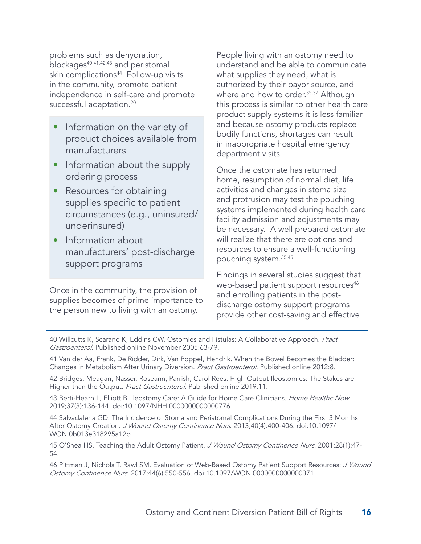problems such as dehydration, blockages<sup>40,41,42,43</sup> and peristomal skin complications<sup>44</sup>. Follow-up visits in the community, promote patient independence in self-care and promote successful adaptation.<sup>20</sup>

- Information on the variety of product choices available from manufacturers
- Information about the supply ordering process
- Resources for obtaining supplies specific to patient circumstances (e.g., uninsured/ underinsured)
- Information about manufacturers' post-discharge support programs

Once in the community, the provision of supplies becomes of prime importance to the person new to living with an ostomy.

People living with an ostomy need to understand and be able to communicate what supplies they need, what is authorized by their payor source, and where and how to order.<sup>35,37</sup> Although this process is similar to other health care product supply systems it is less familiar and because ostomy products replace bodily functions, shortages can result in inappropriate hospital emergency department visits.

Once the ostomate has returned home, resumption of normal diet, life activities and changes in stoma size and protrusion may test the pouching systems implemented during health care facility admission and adjustments may be necessary. A well prepared ostomate will realize that there are options and resources to ensure a well-functioning pouching system.35,45

Findings in several studies suggest that web-based patient support resources<sup>46</sup> and enrolling patients in the postdischarge ostomy support programs provide other cost-saving and effective

40 Willcutts K, Scarano K, Eddins CW. Ostomies and Fistulas: A Collaborative Approach. Pract Gastroenterol. Published online November 2005:63-79.

41 Van der Aa, Frank, De Ridder, Dirk, Van Poppel, Hendrik. When the Bowel Becomes the Bladder: Changes in Metabolism After Urinary Diversion. Pract Gastroenterol. Published online 2012:8.

42 Bridges, Meagan, Nasser, Roseann, Parrish, Carol Rees. High Output Ileostomies: The Stakes are Higher than the Output. Pract Gastroenterol. Published online 2019:11.

43 Berti-Hearn L, Elliott B. Ileostomy Care: A Guide for Home Care Clinicians. Home Healthc Now. 2019;37(3):136-144. doi:10.1097/NHH.0000000000000776

44 Salvadalena GD. The Incidence of Stoma and Peristomal Complications During the First 3 Months After Ostomy Creation. J Wound Ostomy Continence Nurs. 2013;40(4):400-406. doi:10.1097/ WON.0b013e318295a12b

45 O'Shea HS. Teaching the Adult Ostomy Patient. J Wound Ostomy Continence Nurs. 2001;28(1):47-54.

46 Pittman J, Nichols T, Rawl SM. Evaluation of Web-Based Ostomy Patient Support Resources: J Wound Ostomy Continence Nurs. 2017;44(6):550-556. doi:10.1097/WON.0000000000000371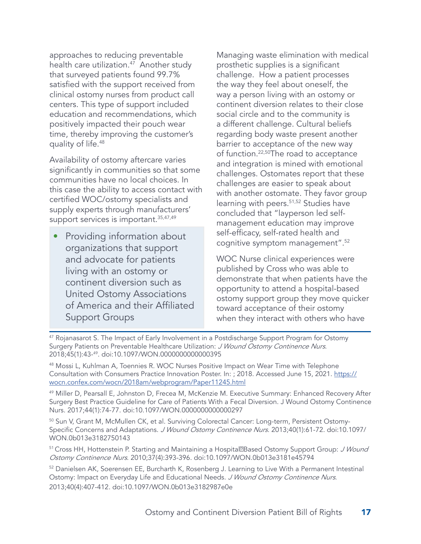approaches to reducing preventable health care utilization.<sup>47</sup> Another study that surveyed patients found 99.7% satisfied with the support received from clinical ostomy nurses from product call centers. This type of support included education and recommendations, which positively impacted their pouch wear time, thereby improving the customer's quality of life.48

Availability of ostomy aftercare varies significantly in communities so that some communities have no local choices. In this case the ability to access contact with certified WOC/ostomy specialists and supply experts through manufacturers' support services is important.<sup>35,47,49</sup>

• Providing information about organizations that support and advocate for patients living with an ostomy or continent diversion such as United Ostomy Associations of America and their Affiliated Support Groups

Managing waste elimination with medical prosthetic supplies is a significant challenge. How a patient processes the way they feel about oneself, the way a person living with an ostomy or continent diversion relates to their close social circle and to the community is a different challenge. Cultural beliefs regarding body waste present another barrier to acceptance of the new way of function.22,50The road to acceptance and integration is mined with emotional challenges. Ostomates report that these challenges are easier to speak about with another ostomate. They favor group learning with peers.<sup>51,52</sup> Studies have concluded that "layperson led selfmanagement education may improve self-efficacy, self-rated health and cognitive symptom management".52

WOC Nurse clinical experiences were published by Cross who was able to demonstrate that when patients have the opportunity to attend a hospital-based ostomy support group they move quicker toward acceptance of their ostomy when they interact with others who have

<sup>47</sup> Rojanasarot S. The Impact of Early Involvement in a Postdischarge Support Program for Ostomy Surgery Patients on Preventable Healthcare Utilization: J Wound Ostomy Continence Nurs. 2018;45(1):43-49. doi:10.1097/WON.0000000000000395

48 Mossi L, Kuhlman A, Toennies R. WOC Nurses Positive Impact on Wear Time with Telephone Consultation with Consumers Practice Innovation Poster. In: ; 2018. Accessed June 15, 2021. https:// wocn.confex.com/wocn/2018am/webprogram/Paper11245.html

<sup>49</sup> Miller D, Pearsall E, Johnston D, Frecea M, McKenzie M. Executive Summary: Enhanced Recovery After Surgery Best Practice Guideline for Care of Patients With a Fecal Diversion. J Wound Ostomy Continence Nurs. 2017;44(1):74-77. doi:10.1097/WON.0000000000000297

<sup>50</sup> Sun V, Grant M, McMullen CK, et al. Surviving Colorectal Cancer: Long-term, Persistent Ostomy-Specific Concerns and Adaptations. J Wound Ostomy Continence Nurs. 2013;40(1):61-72. doi:10.1097/ WON.0b013e3182750143

51 Cross HH, Hottenstein P. Starting and Maintaining a Hospital<sup>n</sup>Based Ostomy Support Group: J Wound Ostomy Continence Nurs. 2010;37(4):393-396. doi:10.1097/WON.0b013e3181e45794

52 Danielsen AK, Soerensen EE, Burcharth K, Rosenberg J. Learning to Live With a Permanent Intestinal Ostomy: Impact on Everyday Life and Educational Needs. J Wound Ostomy Continence Nurs. 2013;40(4):407-412. doi:10.1097/WON.0b013e3182987e0e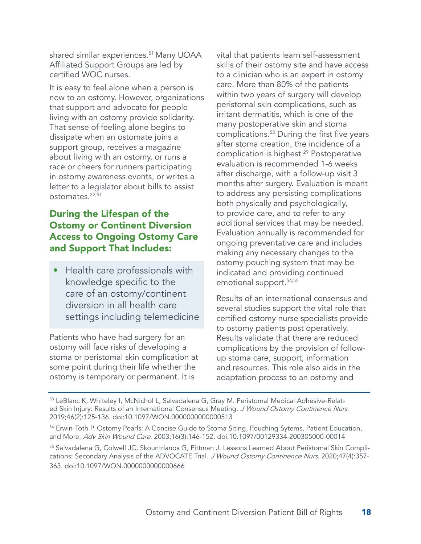shared similar experiences.<sup>51</sup> Many UOAA Affiliated Support Groups are led by certified WOC nurses.

It is easy to feel alone when a person is new to an ostomy. However, organizations that support and advocate for people living with an ostomy provide solidarity. That sense of feeling alone begins to dissipate when an ostomate joins a support group, receives a magazine about living with an ostomy, or runs a race or cheers for runners participating in ostomy awareness events, or writes a letter to a legislator about bills to assist ostomates.22,51

### During the Lifespan of the Ostomy or Continent Diversion Access to Ongoing Ostomy Care and Support That Includes:

• Health care professionals with knowledge specific to the care of an ostomy/continent diversion in all health care settings including telemedicine

Patients who have had surgery for an ostomy will face risks of developing a stoma or peristomal skin complication at some point during their life whether the ostomy is temporary or permanent. It is

vital that patients learn self-assessment skills of their ostomy site and have access to a clinician who is an expert in ostomy care. More than 80% of the patients within two years of surgery will develop peristomal skin complications, such as irritant dermatitis, which is one of the many postoperative skin and stoma complications.53 During the first five years after stoma creation, the incidence of a complication is highest.<sup>29</sup> Postoperative evaluation is recommended 1-6 weeks after discharge, with a follow-up visit 3 months after surgery. Evaluation is meant to address any persisting complications both physically and psychologically, to provide care, and to refer to any additional services that may be needed. Evaluation annually is recommended for ongoing preventative care and includes making any necessary changes to the ostomy pouching system that may be indicated and providing continued emotional support.54,55

Results of an international consensus and several studies support the vital role that certified ostomy nurse specialists provide to ostomy patients post operatively. Results validate that there are reduced complications by the provision of followup stoma care, support, information and resources. This role also aids in the adaptation process to an ostomy and

<sup>53</sup> LeBlanc K, Whiteley I, McNichol L, Salvadalena G, Gray M. Peristomal Medical Adhesive-Related Skin Injury: Results of an International Consensus Meeting. J Wound Ostomy Continence Nurs. 2019;46(2):125-136. doi:10.1097/WON.0000000000000513

<sup>54</sup> Erwin-Toth P. Ostomy Pearls: A Concise Guide to Stoma Siting, Pouching Sytems, Patient Education, and More. Adv Skin Wound Care. 2003;16(3):146-152. doi:10.1097/00129334-200305000-00014

<sup>55</sup> Salvadalena G, Colwell JC, Skountrianos G, Pittman J. Lessons Learned About Peristomal Skin Complications: Secondary Analysis of the ADVOCATE Trial. J Wound Ostomy Continence Nurs. 2020;47(4):357-363. doi:10.1097/WON.0000000000000666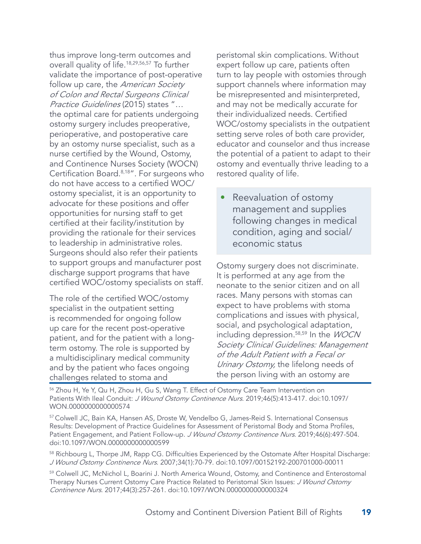thus improve long-term outcomes and overall quality of life.18,29,56,57 To further validate the importance of post-operative follow up care, the *American Society* of Colon and Rectal Surgeons Clinical Practice Guidelines (2015) states "… the optimal care for patients undergoing ostomy surgery includes preoperative, perioperative, and postoperative care by an ostomy nurse specialist, such as a nurse certified by the Wound, Ostomy, and Continence Nurses Society (WOCN) Certification Board.8,18". For surgeons who do not have access to a certified WOC/ ostomy specialist, it is an opportunity to advocate for these positions and offer opportunities for nursing staff to get certified at their facility/institution by providing the rationale for their services to leadership in administrative roles. Surgeons should also refer their patients to support groups and manufacturer post discharge support programs that have certified WOC/ostomy specialists on staff.

The role of the certified WOC/ostomy specialist in the outpatient setting is recommended for ongoing follow up care for the recent post-operative patient, and for the patient with a longterm ostomy. The role is supported by a multidisciplinary medical community and by the patient who faces ongoing challenges related to stoma and

peristomal skin complications. Without expert follow up care, patients often turn to lay people with ostomies through support channels where information may be misrepresented and misinterpreted, and may not be medically accurate for their individualized needs. Certified WOC/ostomy specialists in the outpatient setting serve roles of both care provider, educator and counselor and thus increase the potential of a patient to adapt to their ostomy and eventually thrive leading to a restored quality of life.

Reevaluation of ostomy management and supplies following changes in medical condition, aging and social/ economic status

Ostomy surgery does not discriminate. It is performed at any age from the neonate to the senior citizen and on all races. Many persons with stomas can expect to have problems with stoma complications and issues with physical, social, and psychological adaptation, including depression.58,59 In the WOCN Society Clinical Guidelines: Management of the Adult Patient with a Fecal or Urinary Ostomy, the lifelong needs of the person living with an ostomy are

<sup>56</sup> Zhou H, Ye Y, Qu H, Zhou H, Gu S, Wang T. Effect of Ostomy Care Team Intervention on Patients With Ileal Conduit: J Wound Ostomy Continence Nurs. 2019;46(5):413-417. doi:10.1097/ WON.0000000000000574

57 Colwell JC, Bain KA, Hansen AS, Droste W, Vendelbo G, James-Reid S. International Consensus Results: Development of Practice Guidelines for Assessment of Peristomal Body and Stoma Profiles, Patient Engagement, and Patient Follow-up. J Wound Ostomy Continence Nurs. 2019;46(6):497-504. doi:10.1097/WON.0000000000000599

<sup>58</sup> Richbourg L, Thorpe JM, Rapp CG. Difficulties Experienced by the Ostomate After Hospital Discharge: J Wound Ostomy Continence Nurs. 2007;34(1):70-79. doi:10.1097/00152192-200701000-00011

59 Colwell JC, McNichol L, Boarini J. North America Wound, Ostomy, and Continence and Enterostomal Therapy Nurses Current Ostomy Care Practice Related to Peristomal Skin Issues: J Wound Ostomy Continence Nurs. 2017;44(3):257-261. doi:10.1097/WON.0000000000000324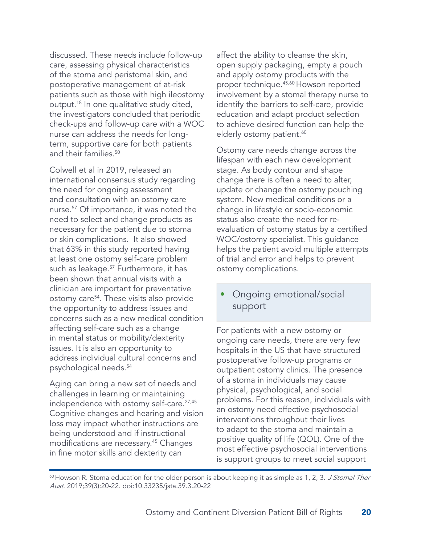discussed. These needs include follow-up care, assessing physical characteristics of the stoma and peristomal skin, and postoperative management of at-risk patients such as those with high ileostomy output.18 In one qualitative study cited, the investigators concluded that periodic check-ups and follow-up care with a WOC nurse can address the needs for longterm, supportive care for both patients and their families.<sup>50</sup>

Colwell et al in 2019, released an international consensus study regarding the need for ongoing assessment and consultation with an ostomy care nurse.57 Of importance, it was noted the need to select and change products as necessary for the patient due to stoma or skin complications. It also showed that 63% in this study reported having at least one ostomy self-care problem such as leakage.<sup>57</sup> Furthermore, it has been shown that annual visits with a clinician are important for preventative ostomy care54. These visits also provide the opportunity to address issues and concerns such as a new medical condition affecting self-care such as a change in mental status or mobility/dexterity issues. It is also an opportunity to address individual cultural concerns and psychological needs.54

Aging can bring a new set of needs and challenges in learning or maintaining independence with ostomy self-care.<sup>27,45</sup> Cognitive changes and hearing and vision loss may impact whether instructions are being understood and if instructional modifications are necessary.45 Changes in fine motor skills and dexterity can

affect the ability to cleanse the skin, open supply packaging, empty a pouch and apply ostomy products with the proper technique.45,60 Howson reported involvement by a stomal therapy nurse to identify the barriers to self-care, provide education and adapt product selection to achieve desired function can help the elderly ostomy patient.<sup>60</sup>

Ostomy care needs change across the lifespan with each new development stage. As body contour and shape change there is often a need to alter, update or change the ostomy pouching system. New medical conditions or a change in lifestyle or socio-economic status also create the need for reevaluation of ostomy status by a certified WOC/ostomy specialist. This guidance helps the patient avoid multiple attempts of trial and error and helps to prevent ostomy complications.

#### • Ongoing emotional/social support

For patients with a new ostomy or ongoing care needs, there are very few hospitals in the US that have structured postoperative follow-up programs or outpatient ostomy clinics. The presence of a stoma in individuals may cause physical, psychological, and social problems. For this reason, individuals with an ostomy need effective psychosocial interventions throughout their lives to adapt to the stoma and maintain a positive quality of life (QOL). One of the most effective psychosocial interventions is support groups to meet social support

<sup>60</sup> Howson R. Stoma education for the older person is about keeping it as simple as 1, 2, 3. J Stomal Ther Aust. 2019;39(3):20-22. doi:10.33235/jsta.39.3.20-22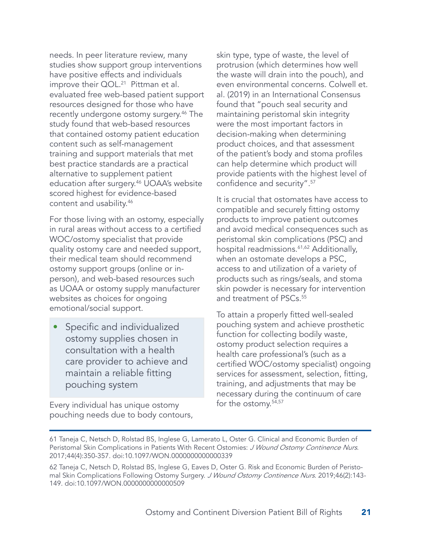needs. In peer literature review, many studies show support group interventions have positive effects and individuals improve their QOL.<sup>21</sup> Pittman et al. evaluated free web-based patient support resources designed for those who have recently undergone ostomy surgery.46 The study found that web-based resources that contained ostomy patient education content such as self-management training and support materials that met best practice standards are a practical alternative to supplement patient education after surgery.46 UOAA's website scored highest for evidence-based content and usability.46

For those living with an ostomy, especially in rural areas without access to a certified WOC/ostomy specialist that provide quality ostomy care and needed support, their medical team should recommend ostomy support groups (online or inperson), and web-based resources such as UOAA or ostomy supply manufacturer websites as choices for ongoing emotional/social support.

Specific and individualized ostomy supplies chosen in consultation with a health care provider to achieve and maintain a reliable fitting pouching system

Every individual has unique ostomy pouching needs due to body contours, skin type, type of waste, the level of protrusion (which determines how well the waste will drain into the pouch), and even environmental concerns. Colwell et. al. (2019) in an International Consensus found that "pouch seal security and maintaining peristomal skin integrity were the most important factors in decision-making when determining product choices, and that assessment of the patient's body and stoma profiles can help determine which product will provide patients with the highest level of confidence and security".<sup>57</sup>

It is crucial that ostomates have access to compatible and securely fitting ostomy products to improve patient outcomes and avoid medical consequences such as peristomal skin complications (PSC) and hospital readmissions.<sup>61,62</sup> Additionally, when an ostomate develops a PSC, access to and utilization of a variety of products such as rings/seals, and stoma skin powder is necessary for intervention and treatment of PSCs.<sup>55</sup>

To attain a properly fitted well-sealed pouching system and achieve prosthetic function for collecting bodily waste, ostomy product selection requires a health care professional's (such as a certified WOC/ostomy specialist) ongoing services for assessment, selection, fitting, training, and adjustments that may be necessary during the continuum of care for the ostomy.54,57

<sup>61</sup> Taneja C, Netsch D, Rolstad BS, Inglese G, Lamerato L, Oster G. Clinical and Economic Burden of Peristomal Skin Complications in Patients With Recent Ostomies: J Wound Ostomy Continence Nurs. 2017;44(4):350-357. doi:10.1097/WON.0000000000000339

<sup>62</sup> Taneja C, Netsch D, Rolstad BS, Inglese G, Eaves D, Oster G. Risk and Economic Burden of Peristomal Skin Complications Following Ostomy Surgery. J Wound Ostomy Continence Nurs. 2019;46(2):143-149. doi:10.1097/WON.0000000000000509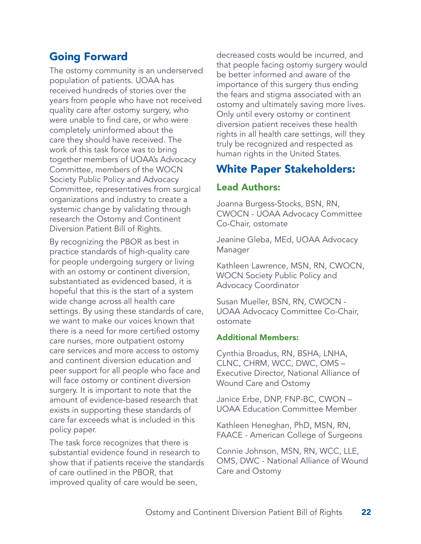# Going Forward

The ostomy community is an underserved population of patients. UOAA has received hundreds of stories over the years from people who have not received quality care after ostomy surgery, who were unable to find care, or who were completely uninformed about the care they should have received. The work of this task force was to bring together members of UOAA's Advocacy Committee, members of the WOCN Society Public Policy and Advocacy Committee, representatives from surgical organizations and industry to create a systemic change by validating through research the Ostomy and Continent Diversion Patient Bill of Rights.

By recognizing the PBOR as best in practice standards of high-quality care for people undergoing surgery or living with an ostomy or continent diversion, substantiated as evidenced based, it is hopeful that this is the start of a system wide change across all health care settings. By using these standards of care, we want to make our voices known that there is a need for more certified ostomy care nurses, more outpatient ostomy care services and more access to ostomy and continent diversion education and peer support for all people who face and will face ostomy or continent diversion surgery. It is important to note that the amount of evidence-based research that exists in supporting these standards of care far exceeds what is included in this policy paper.

The task force recognizes that there is substantial evidence found in research to show that if patients receive the standards of care outlined in the PBOR, that improved quality of care would be seen,

decreased costs would be incurred, and that people facing ostomy surgery would be better informed and aware of the importance of this surgery thus ending the fears and stigma associated with an ostomy and ultimately saving more lives. Only until every ostomy or continent diversion patient receives these health rights in all health care settings, will they truly be recognized and respected as human rights in the United States.

# White Paper Stakeholders:

#### Lead Authors:

Joanna Burgess-Stocks, BSN, RN, CWOCN - UOAA Advocacy Committee Co-Chair, ostomate

Jeanine Gleba, MEd, UOAA Advocacy Manager

Kathleen Lawrence, MSN, RN, CWOCN, WOCN Society Public Policy and Advocacy Coordinator

Susan Mueller, BSN, RN, CWOCN - UOAA Advocacy Committee Co-Chair, ostomate

#### Additional Members:

Cynthia Broadus, RN, BSHA, LNHA, CLNC, CHRM, WCC, DWC, OMS – Executive Director, National Alliance of Wound Care and Ostomy

Janice Erbe, DNP, FNP-BC, CWON – UOAA Education Committee Member

Kathleen Heneghan, PhD, MSN, RN, FAACE - American College of Surgeons

Connie Johnson, MSN, RN, WCC, LLE, OMS, DWC - National Alliance of Wound Care and Ostomy